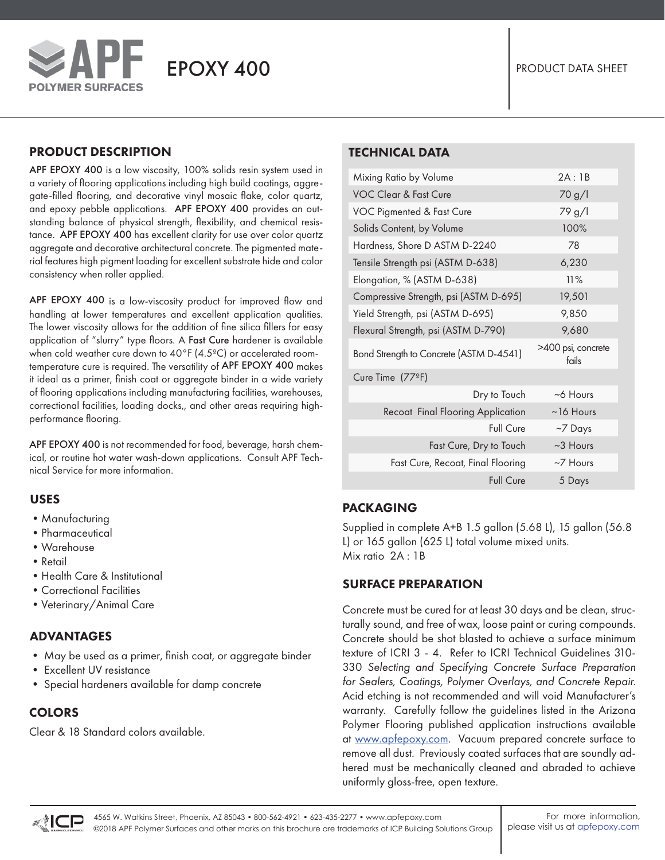

**POLYMER SURFACES** 

## PRODUCT DESCRIPTION

APF EPOXY 400 is a low viscosity, 100% solids resin system used in a variety of flooring applications including high build coatings, aggregate-filled flooring, and decorative vinyl mosaic flake, color quartz, and epoxy pebble applications. APF EPOXY 400 provides an outstanding balance of physical strength, flexibility, and chemical resistance. APF EPOXY 400 has excellent clarity for use over color quartz aggregate and decorative architectural concrete. The pigmented material features high pigment loading for excellent substrate hide and color consistency when roller applied.

APF EPOXY 400 is a low-viscosity product for improved flow and handling at lower temperatures and excellent application qualities. The lower viscosity allows for the addition of fine silica fillers for easy application of "slurry" type floors. A Fast Cure hardener is available when cold weather cure down to 40°F (4.5ºC) or accelerated roomtemperature cure is required. The versatility of APF EPOXY 400 makes it ideal as a primer, finish coat or aggregate binder in a wide variety of flooring applications including manufacturing facilities, warehouses, correctional facilities, loading docks,, and other areas requiring highperformance flooring.

APF EPOXY 400 is not recommended for food, beverage, harsh chemical, or routine hot water wash-down applications. Consult APF Technical Service for more information.

### USES

- •Manufacturing
- •Pharmaceutical
- •Warehouse
- •Retail
- Health Care & Institutional
- •Correctional Facilities
- •Veterinary/Animal Care

# ADVANTAGES

- May be used as a primer, finish coat, or aggregate binder
- Excellent UV resistance
- Special hardeners available for damp concrete

# COLORS

Clear & 18 Standard colors available.

# TECHNICAL DATA

| Mixing Ratio by Volume                  | 2A:1B                       |
|-----------------------------------------|-----------------------------|
| <b>VOC Clear &amp; Fast Cure</b>        | 70 g/l                      |
| VOC Pigmented & Fast Cure               | 79 g/l                      |
| Solids Content, by Volume               | 100%                        |
| Hardness, Shore D ASTM D-2240           | 78                          |
| Tensile Strength psi (ASTM D-638)       | 6,230                       |
| Elongation, % (ASTM D-638)              | 11%                         |
| Compressive Strength, psi (ASTM D-695)  | 19,501                      |
| Yield Strength, psi (ASTM D-695)        | 9,850                       |
| Flexural Strength, psi (ASTM D-790)     | 9,680                       |
| Bond Strength to Concrete (ASTM D-4541) | >400 psi, concrete<br>fails |
| Cure Time (77ºF)                        |                             |
| Dry to Touch                            | $~6$ Hours                  |
| Recoat Final Flooring Application       | $~16$ Hours                 |
| Full Cure                               | $~\sim$ 7 Days              |
| Fast Cure, Dry to Touch                 | $~2$ Hours                  |
| Fast Cure, Recoat, Final Flooring       | $\sim$ 7 Hours              |
| Full Cure                               | 5 Days                      |
|                                         |                             |

# PACKAGING

Supplied in complete A+B 1.5 gallon (5.68 L), 15 gallon (56.8 L) or 165 gallon (625 L) total volume mixed units. Mix ratio 2A : 1B

### SURFACE PREPARATION

Concrete must be cured for at least 30 days and be clean, structurally sound, and free of wax, loose paint or curing compounds. Concrete should be shot blasted to achieve a surface minimum texture of ICRI 3 - 4. Refer to ICRI Technical Guidelines 310- 330 *Selecting and Specifying Concrete Surface Preparation for Sealers, Coatings, Polymer Overlays, and Concrete Repair.*  Acid etching is not recommended and will void Manufacturer's warranty. Carefully follow the guidelines listed in the Arizona Polymer Flooring published application instructions available at www.apfepoxy.com. Vacuum prepared concrete surface to remove all dust. Previously coated surfaces that are soundly adhered must be mechanically cleaned and abraded to achieve uniformly gloss-free, open texture.